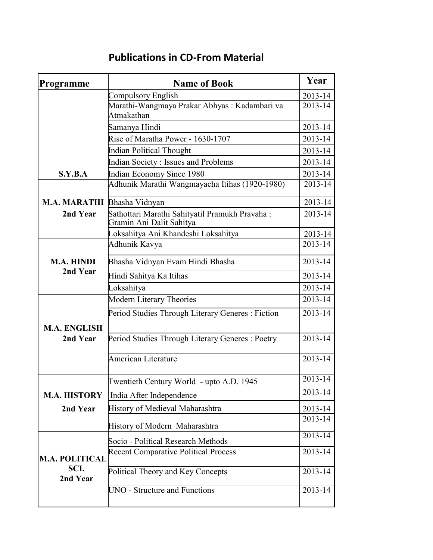| Programme                                 | <b>Name of Book</b>                                                        | Year        |
|-------------------------------------------|----------------------------------------------------------------------------|-------------|
|                                           | <b>Compulsory English</b>                                                  | 2013-14     |
|                                           | Marathi-Wangmaya Prakar Abhyas: Kadambari va<br>Atmakathan                 | 2013-14     |
|                                           | Samanya Hindi                                                              | 2013-14     |
|                                           | Rise of Maratha Power - 1630-1707                                          | 2013-14     |
|                                           | <b>Indian Political Thought</b>                                            | 2013-14     |
|                                           | <b>Indian Society: Issues and Problems</b>                                 | 2013-14     |
| S.Y.B.A                                   | <b>Indian Economy Since 1980</b>                                           | 2013-14     |
|                                           | Adhunik Marathi Wangmayacha Itihas (1920-1980)                             | 2013-14     |
| M.A. MARATHI Bhasha Vidnyan               |                                                                            | 2013-14     |
| 2nd Year                                  | Sathottari Marathi Sahityatil Pramukh Pravaha:<br>Gramin Ani Dalit Sahitya | 2013-14     |
|                                           | Loksahitya Ani Khandeshi Loksahitya                                        | 2013-14     |
|                                           | Adhunik Kavya                                                              | 2013-14     |
| <b>M.A. HINDI</b>                         | Bhasha Vidnyan Evam Hindi Bhasha                                           | 2013-14     |
| 2nd Year                                  | Hindi Sahitya Ka Itihas                                                    | 2013-14     |
|                                           | Loksahitya                                                                 | 2013-14     |
|                                           | <b>Modern Literary Theories</b>                                            | 2013-14     |
| <b>M.A. ENGLISH</b><br>2nd Year           | Period Studies Through Literary Generes : Fiction                          | $2013 - 14$ |
|                                           | Period Studies Through Literary Generes: Poetry                            | 2013-14     |
|                                           | <b>American Literature</b>                                                 | 2013-14     |
|                                           | Twentieth Century World - upto A.D. 1945                                   | 2013-14     |
| <b>M.A. HISTORY</b>                       | India After Independence                                                   | 2013-14     |
| 2nd Year                                  | History of Medieval Maharashtra                                            | 2013-14     |
|                                           | History of Modern Maharashtra                                              | 2013-14     |
|                                           | Socio - Political Research Methods                                         | 2013-14     |
| <b>M.A. POLITICAL</b><br>SCI.<br>2nd Year | <b>Recent Comparative Political Process</b>                                | 2013-14     |
|                                           | Political Theory and Key Concepts                                          | 2013-14     |
|                                           | <b>UNO - Structure and Functions</b>                                       | 2013-14     |

## **Publications in CD-From Material**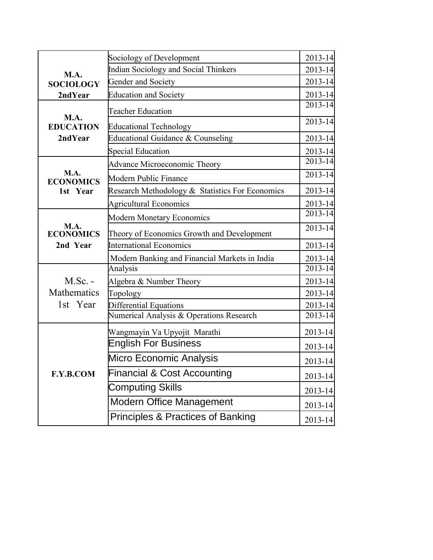|                                             | Sociology of Development                        | 2013-14     |
|---------------------------------------------|-------------------------------------------------|-------------|
| M.A.<br><b>SOCIOLOGY</b>                    | Indian Sociology and Social Thinkers            | 2013-14     |
|                                             | Gender and Society                              | 2013-14     |
| 2ndYear                                     | <b>Education and Society</b>                    | 2013-14     |
| <b>M.A.</b><br><b>EDUCATION</b><br>2ndYear  | <b>Teacher Education</b>                        | $2013 - 14$ |
|                                             | <b>Educational Technology</b>                   | $2013 - 14$ |
|                                             | Educational Guidance & Counseling               | 2013-14     |
|                                             | <b>Special Education</b>                        | 2013-14     |
| M.A.<br><b>ECONOMICS</b><br>1st Year        | Advance Microeconomic Theory                    | $2013 - 14$ |
|                                             | <b>Modern Public Finance</b>                    | 2013-14     |
|                                             | Research Methodology & Statistics For Economics | 2013-14     |
|                                             | <b>Agricultural Economics</b>                   | 2013-14     |
|                                             | <b>Modern Monetary Economics</b>                | 2013-14     |
| <b>M.A.</b><br><b>ECONOMICS</b><br>2nd Year | Theory of Economics Growth and Development      | $2013 - 14$ |
|                                             | <b>International Economics</b>                  | 2013-14     |
|                                             | Modern Banking and Financial Markets in India   | 2013-14     |
| $M.Sc. -$<br>Mathematics<br>1st Year        | Analysis                                        | 2013-14     |
|                                             | Algebra & Number Theory                         | 2013-14     |
|                                             | Topology                                        | 2013-14     |
|                                             | Differential Equations                          | 2013-14     |
|                                             | Numerical Analysis & Operations Research        | 2013-14     |
| F.Y.B.COM                                   | Wangmayin Va Upyojit Marathi                    | 2013-14     |
|                                             | <b>English For Business</b>                     | 2013-14     |
|                                             | <b>Micro Economic Analysis</b>                  | 2013-14     |
|                                             | <b>Financial &amp; Cost Accounting</b>          | $2013 - 14$ |
|                                             | <b>Computing Skills</b>                         | $2013 - 14$ |
|                                             | <b>Modern Office Management</b>                 | $2013 - 14$ |
|                                             | <b>Principles &amp; Practices of Banking</b>    | 2013-14     |